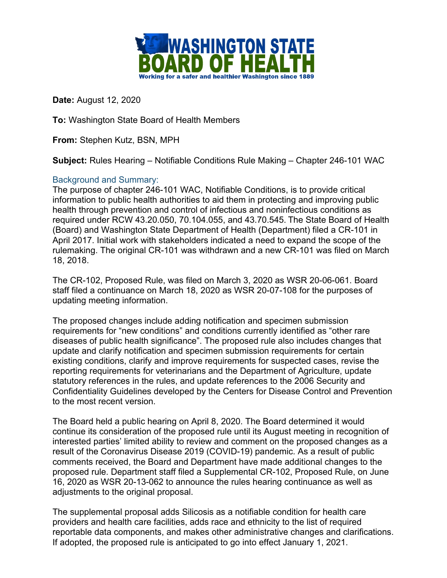

**Date:** August 12, 2020

**To:** Washington State Board of Health Members

**From:** Stephen Kutz, BSN, MPH

**Subject:** Rules Hearing – Notifiable Conditions Rule Making – Chapter 246-101 WAC

## Background and Summary:

The purpose of chapter 246-101 WAC, Notifiable Conditions, is to provide critical information to public health authorities to aid them in protecting and improving public health through prevention and control of infectious and noninfectious conditions as required under RCW 43.20.050, 70.104.055, and 43.70.545. The State Board of Health (Board) and Washington State Department of Health (Department) filed a CR-101 in April 2017. Initial work with stakeholders indicated a need to expand the scope of the rulemaking. The original CR-101 was withdrawn and a new CR-101 was filed on March 18, 2018.

The CR-102, Proposed Rule, was filed on March 3, 2020 as WSR 20-06-061. Board staff filed a continuance on March 18, 2020 as WSR 20-07-108 for the purposes of updating meeting information.

The proposed changes include adding notification and specimen submission requirements for "new conditions" and conditions currently identified as "other rare diseases of public health significance". The proposed rule also includes changes that update and clarify notification and specimen submission requirements for certain existing conditions, clarify and improve requirements for suspected cases, revise the reporting requirements for veterinarians and the Department of Agriculture, update statutory references in the rules, and update references to the 2006 Security and Confidentiality Guidelines developed by the Centers for Disease Control and Prevention to the most recent version.

The Board held a public hearing on April 8, 2020. The Board determined it would continue its consideration of the proposed rule until its August meeting in recognition of interested parties' limited ability to review and comment on the proposed changes as a result of the Coronavirus Disease 2019 (COVID-19) pandemic. As a result of public comments received, the Board and Department have made additional changes to the proposed rule. Department staff filed a Supplemental CR-102, Proposed Rule, on June 16, 2020 as WSR 20-13-062 to announce the rules hearing continuance as well as adjustments to the original proposal.

The supplemental proposal adds Silicosis as a notifiable condition for health care providers and health care facilities, adds race and ethnicity to the list of required reportable data components, and makes other administrative changes and clarifications. If adopted, the proposed rule is anticipated to go into effect January 1, 2021.